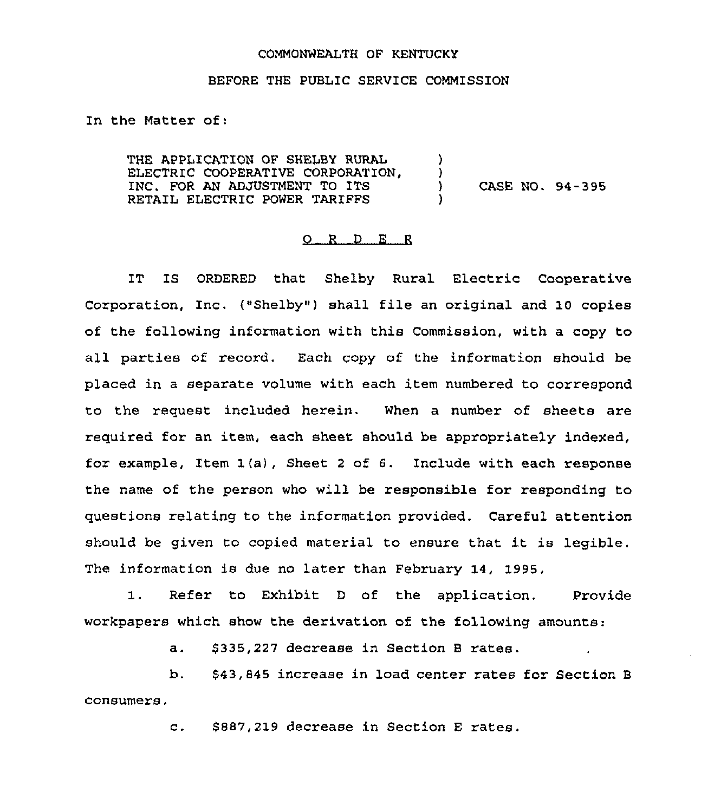## COMMONWEALTH OF KENTUCKY

## BEFORE THE PUBLIC SERVICE COMMISSION

In the Matter of:

THE APPLICATION OF SHELBY RURAL ELECTRIC COOPERATIVE CORPORATION, INC. FOR AN ADJUSTMENT TO ITS RETAIL ELECTRIC POWER TARIFFS )  $\left\{ \right.$ ) CASE NO. 94-395 )

## 0 <sup>R</sup> <sup>D</sup> E <sup>R</sup>

IT IS ORDERED that Shelby Rural Electric Cooperative Corporation, Inc. {"Shelby") shall file an original and Io copies of the following information with this Commission, with a copy to all parties of record. Each copy of the information should be placed in a separate volume with each item numbered to correspond to the request included herein. When a number of sheets are required for an item, each sheet should be appropriately indexed, for example, Item 1(a), Sheet <sup>2</sup> of 6. Include with each response the name of the person who will be responsible for responding to questions relating to the information provided. Careful attention should be given to copied material to ensure that it is legible, The information is due no later than February 14, 1995,

1. Refer to Exhibit <sup>D</sup> of the application. Provide workpapers which show the derivation of the following amounts:

a. \$335,227 decrease in Section B rates.

b. \$43,845 increase in load center rates for Section <sup>B</sup> consumers.

c. \$ 887,219 decrease in Section <sup>E</sup> rates.